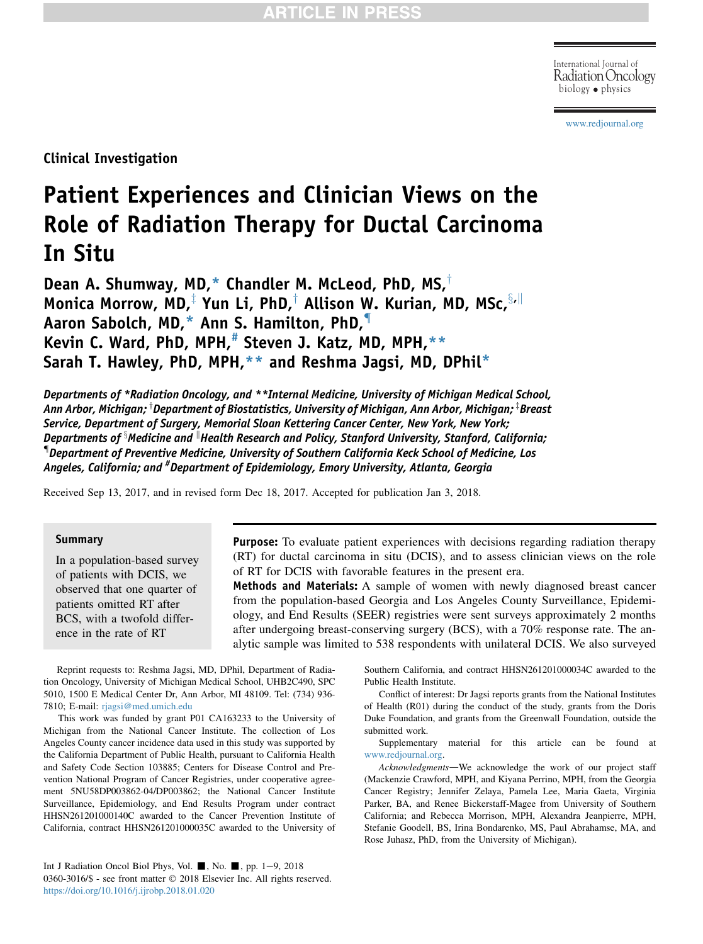Radiation Oncology biology physics

[www.redjournal.org](http://www.redjournal.org)

Clinical Investigation

# Patient Experiences and Clinician Views on the Role of Radiation Therapy for Ductal Carcinoma In Situ

Dean A. Shumway, MD,\* Chandler M. McLeod, PhD, MS, $^{\dagger}$ Monica Morrow, MD,<sup> $\ddagger$ </sup> Yun Li, PhD,<sup> $\dagger$ </sup> Allison W. Kurian, MD, MSc,  $\frac{S_r \parallel}{S_r \parallel}$ Aaron Sabolch, MD,\* Ann S. Hamilton, PhD,{ Kevin C. Ward, PhD, MPH, $#$  Steven J. Katz, MD, MPH, $**$ Sarah T. Hawley, PhD, MPH,\*\* and Reshma Jagsi, MD, DPhil\*

Departments of \*Radiation Oncology, and \*\*Internal Medicine, University of Michigan Medical School, Ann Arbor, Michigan; <sup>†</sup>Department of Biostatistics, University of Michigan, Ann Arbor, Michigan; <sup>‡</sup>Breast Service, Department of Surgery, Memorial Sloan Kettering Cancer Center, New York, New York; Departments of x Medicine and k Health Research and Policy, Stanford University, Stanford, California; { Department of Preventive Medicine, University of Southern California Keck School of Medicine, Los Angeles, California; and <sup>#</sup>Department of Epidemiology, Emory University, Atlanta, Georgia

Received Sep 13, 2017, and in revised form Dec 18, 2017. Accepted for publication Jan 3, 2018.

#### Summary

In a population-based survey of patients with DCIS, we observed that one quarter of patients omitted RT after BCS, with a twofold difference in the rate of RT

Purpose: To evaluate patient experiences with decisions regarding radiation therapy (RT) for ductal carcinoma in situ (DCIS), and to assess clinician views on the role of RT for DCIS with favorable features in the present era.

Methods and Materials: A sample of women with newly diagnosed breast cancer from the population-based Georgia and Los Angeles County Surveillance, Epidemiology, and End Results (SEER) registries were sent surveys approximately 2 months after undergoing breast-conserving surgery (BCS), with a 70% response rate. The analytic sample was limited to 538 respondents with unilateral DCIS. We also surveyed

Reprint requests to: Reshma Jagsi, MD, DPhil, Department of Radiation Oncology, University of Michigan Medical School, UHB2C490, SPC 5010, 1500 E Medical Center Dr, Ann Arbor, MI 48109. Tel: (734) 936- 7810; E-mail: [rjagsi@med.umich.edu](mailto:rjagsi@med.umich.edu)

This work was funded by grant P01 CA163233 to the University of Michigan from the National Cancer Institute. The collection of Los Angeles County cancer incidence data used in this study was supported by the California Department of Public Health, pursuant to California Health and Safety Code Section 103885; Centers for Disease Control and Prevention National Program of Cancer Registries, under cooperative agreement 5NU58DP003862-04/DP003862; the National Cancer Institute Surveillance, Epidemiology, and End Results Program under contract HHSN261201000140C awarded to the Cancer Prevention Institute of California, contract HHSN261201000035C awarded to the University of Southern California, and contract HHSN261201000034C awarded to the Public Health Institute.

Conflict of interest: Dr Jagsi reports grants from the National Institutes of Health (R01) during the conduct of the study, grants from the Doris Duke Foundation, and grants from the Greenwall Foundation, outside the submitted work.

Supplementary material for this article can be found at [www.redjournal.org.](http://www.redjournal.org)

Acknowledgments-We acknowledge the work of our project staff (Mackenzie Crawford, MPH, and Kiyana Perrino, MPH, from the Georgia Cancer Registry; Jennifer Zelaya, Pamela Lee, Maria Gaeta, Virginia Parker, BA, and Renee Bickerstaff-Magee from University of Southern California; and Rebecca Morrison, MPH, Alexandra Jeanpierre, MPH, Stefanie Goodell, BS, Irina Bondarenko, MS, Paul Abrahamse, MA, and Rose Juhasz, PhD, from the University of Michigan).

Int J Radiation Oncol Biol Phys, Vol.  $\blacksquare$ , No.  $\blacksquare$ , pp. 1-9, 2018 0360-3016/\$ - see front matter  $\odot$  2018 Elsevier Inc. All rights reserved. <https://doi.org/10.1016/j.ijrobp.2018.01.020>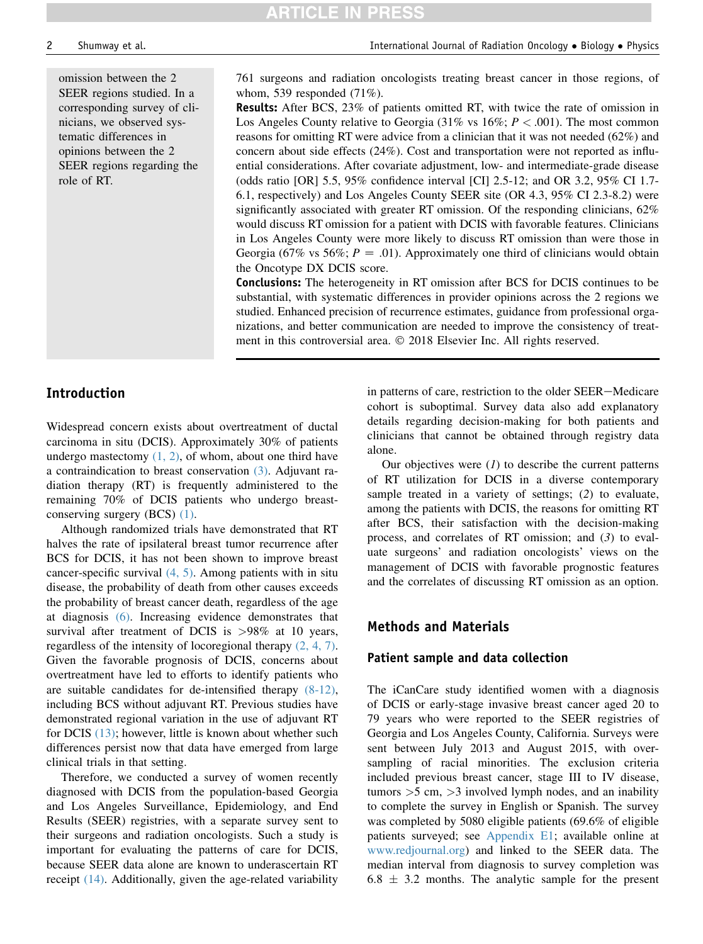omission between the 2 SEER regions studied. In a corresponding survey of clinicians, we observed systematic differences in opinions between the 2 SEER regions regarding the role of RT.

761 surgeons and radiation oncologists treating breast cancer in those regions, of whom, 539 responded (71%).

**ARTICLE IN PRESS** 

Results: After BCS, 23% of patients omitted RT, with twice the rate of omission in Los Angeles County relative to Georgia (31% vs  $16\%$ ;  $P < .001$ ). The most common reasons for omitting RT were advice from a clinician that it was not needed (62%) and concern about side effects (24%). Cost and transportation were not reported as influential considerations. After covariate adjustment, low- and intermediate-grade disease (odds ratio [OR] 5.5, 95% confidence interval [CI] 2.5-12; and OR 3.2, 95% CI 1.7- 6.1, respectively) and Los Angeles County SEER site (OR 4.3, 95% CI 2.3-8.2) were significantly associated with greater RT omission. Of the responding clinicians, 62% would discuss RT omission for a patient with DCIS with favorable features. Clinicians in Los Angeles County were more likely to discuss RT omission than were those in Georgia (67% vs 56%;  $P = .01$ ). Approximately one third of clinicians would obtain the Oncotype DX DCIS score.

Conclusions: The heterogeneity in RT omission after BCS for DCIS continues to be substantial, with systematic differences in provider opinions across the 2 regions we studied. Enhanced precision of recurrence estimates, guidance from professional organizations, and better communication are needed to improve the consistency of treatment in this controversial area.  $\oslash$  2018 Elsevier Inc. All rights reserved.

## Introduction

Widespread concern exists about overtreatment of ductal carcinoma in situ (DCIS). Approximately 30% of patients undergo mastectomy  $(1, 2)$ , of whom, about one third have a contraindication to breast conservation [\(3\).](#page-8-0) Adjuvant radiation therapy (RT) is frequently administered to the remaining 70% of DCIS patients who undergo breastconserving surgery (BCS) [\(1\).](#page-8-0)

Although randomized trials have demonstrated that RT halves the rate of ipsilateral breast tumor recurrence after BCS for DCIS, it has not been shown to improve breast cancer-specific survival [\(4, 5\)](#page-8-0). Among patients with in situ disease, the probability of death from other causes exceeds the probability of breast cancer death, regardless of the age at diagnosis [\(6\)](#page-8-0). Increasing evidence demonstrates that survival after treatment of DCIS is >98% at 10 years, regardless of the intensity of locoregional therapy [\(2, 4, 7\).](#page-8-0) Given the favorable prognosis of DCIS, concerns about overtreatment have led to efforts to identify patients who are suitable candidates for de-intensified therapy [\(8-12\),](#page-8-0) including BCS without adjuvant RT. Previous studies have demonstrated regional variation in the use of adjuvant RT for DCIS [\(13\);](#page-8-0) however, little is known about whether such differences persist now that data have emerged from large clinical trials in that setting.

Therefore, we conducted a survey of women recently diagnosed with DCIS from the population-based Georgia and Los Angeles Surveillance, Epidemiology, and End Results (SEER) registries, with a separate survey sent to their surgeons and radiation oncologists. Such a study is important for evaluating the patterns of care for DCIS, because SEER data alone are known to underascertain RT receipt [\(14\)](#page-8-0). Additionally, given the age-related variability

in patterns of care, restriction to the older SEER-Medicare cohort is suboptimal. Survey data also add explanatory details regarding decision-making for both patients and clinicians that cannot be obtained through registry data alone.

Our objectives were  $(1)$  to describe the current patterns of RT utilization for DCIS in a diverse contemporary sample treated in a variety of settings; (2) to evaluate, among the patients with DCIS, the reasons for omitting RT after BCS, their satisfaction with the decision-making process, and correlates of RT omission; and (3) to evaluate surgeons' and radiation oncologists' views on the management of DCIS with favorable prognostic features and the correlates of discussing RT omission as an option.

#### Methods and Materials

#### Patient sample and data collection

The iCanCare study identified women with a diagnosis of DCIS or early-stage invasive breast cancer aged 20 to 79 years who were reported to the SEER registries of Georgia and Los Angeles County, California. Surveys were sent between July 2013 and August 2015, with oversampling of racial minorities. The exclusion criteria included previous breast cancer, stage III to IV disease, tumors  $>5$  cm,  $>3$  involved lymph nodes, and an inability to complete the survey in English or Spanish. The survey was completed by 5080 eligible patients (69.6% of eligible patients surveyed; see Appendix E1; available online at [www.redjournal.org](http://www.redjournal.org)) and linked to the SEER data. The median interval from diagnosis to survey completion was  $6.8 \pm 3.2$  months. The analytic sample for the present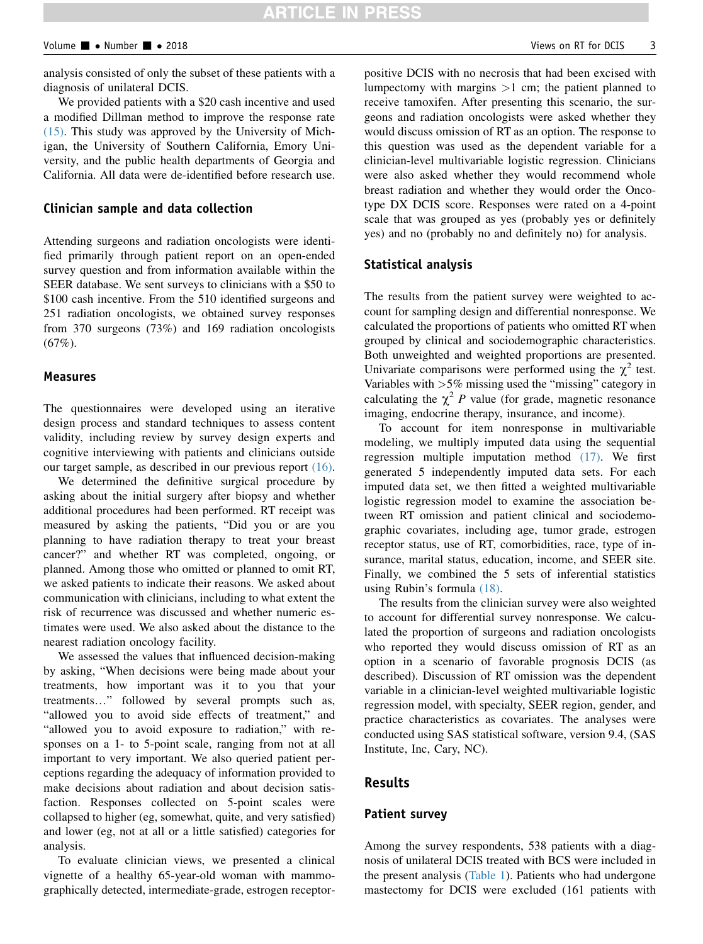analysis consisted of only the subset of these patients with a diagnosis of unilateral DCIS.

We provided patients with a \$20 cash incentive and used a modified Dillman method to improve the response rate [\(15\)](#page-8-0). This study was approved by the University of Michigan, the University of Southern California, Emory University, and the public health departments of Georgia and California. All data were de-identified before research use.

#### Clinician sample and data collection

Attending surgeons and radiation oncologists were identified primarily through patient report on an open-ended survey question and from information available within the SEER database. We sent surveys to clinicians with a \$50 to \$100 cash incentive. From the 510 identified surgeons and 251 radiation oncologists, we obtained survey responses from 370 surgeons (73%) and 169 radiation oncologists (67%).

#### Measures

The questionnaires were developed using an iterative design process and standard techniques to assess content validity, including review by survey design experts and cognitive interviewing with patients and clinicians outside our target sample, as described in our previous report [\(16\)](#page-8-0).

We determined the definitive surgical procedure by asking about the initial surgery after biopsy and whether additional procedures had been performed. RT receipt was measured by asking the patients, "Did you or are you planning to have radiation therapy to treat your breast cancer?" and whether RT was completed, ongoing, or planned. Among those who omitted or planned to omit RT, we asked patients to indicate their reasons. We asked about communication with clinicians, including to what extent the risk of recurrence was discussed and whether numeric estimates were used. We also asked about the distance to the nearest radiation oncology facility.

We assessed the values that influenced decision-making by asking, "When decisions were being made about your treatments, how important was it to you that your treatments..." followed by several prompts such as, "allowed you to avoid side effects of treatment," and "allowed you to avoid exposure to radiation," with responses on a 1- to 5-point scale, ranging from not at all important to very important. We also queried patient perceptions regarding the adequacy of information provided to make decisions about radiation and about decision satisfaction. Responses collected on 5-point scales were collapsed to higher (eg, somewhat, quite, and very satisfied) and lower (eg, not at all or a little satisfied) categories for analysis.

To evaluate clinician views, we presented a clinical vignette of a healthy 65-year-old woman with mammographically detected, intermediate-grade, estrogen receptorpositive DCIS with no necrosis that had been excised with lumpectomy with margins  $>1$  cm; the patient planned to receive tamoxifen. After presenting this scenario, the surgeons and radiation oncologists were asked whether they would discuss omission of RT as an option. The response to this question was used as the dependent variable for a clinician-level multivariable logistic regression. Clinicians were also asked whether they would recommend whole breast radiation and whether they would order the Oncotype DX DCIS score. Responses were rated on a 4-point scale that was grouped as yes (probably yes or definitely yes) and no (probably no and definitely no) for analysis.

#### Statistical analysis

The results from the patient survey were weighted to account for sampling design and differential nonresponse. We calculated the proportions of patients who omitted RT when grouped by clinical and sociodemographic characteristics. Both unweighted and weighted proportions are presented. Univariate comparisons were performed using the  $\chi^2$  test. Variables with >5% missing used the "missing" category in calculating the  $\chi^2$  P value (for grade, magnetic resonance imaging, endocrine therapy, insurance, and income).

To account for item nonresponse in multivariable modeling, we multiply imputed data using the sequential regression multiple imputation method [\(17\)](#page-8-0). We first generated 5 independently imputed data sets. For each imputed data set, we then fitted a weighted multivariable logistic regression model to examine the association between RT omission and patient clinical and sociodemographic covariates, including age, tumor grade, estrogen receptor status, use of RT, comorbidities, race, type of insurance, marital status, education, income, and SEER site. Finally, we combined the 5 sets of inferential statistics using Rubin's formula [\(18\).](#page-8-0)

The results from the clinician survey were also weighted to account for differential survey nonresponse. We calculated the proportion of surgeons and radiation oncologists who reported they would discuss omission of RT as an option in a scenario of favorable prognosis DCIS (as described). Discussion of RT omission was the dependent variable in a clinician-level weighted multivariable logistic regression model, with specialty, SEER region, gender, and practice characteristics as covariates. The analyses were conducted using SAS statistical software, version 9.4, (SAS Institute, Inc, Cary, NC).

#### Results

#### Patient survey

Among the survey respondents, 538 patients with a diagnosis of unilateral DCIS treated with BCS were included in the present analysis [\(Table 1\)](#page-3-0). Patients who had undergone mastectomy for DCIS were excluded (161 patients with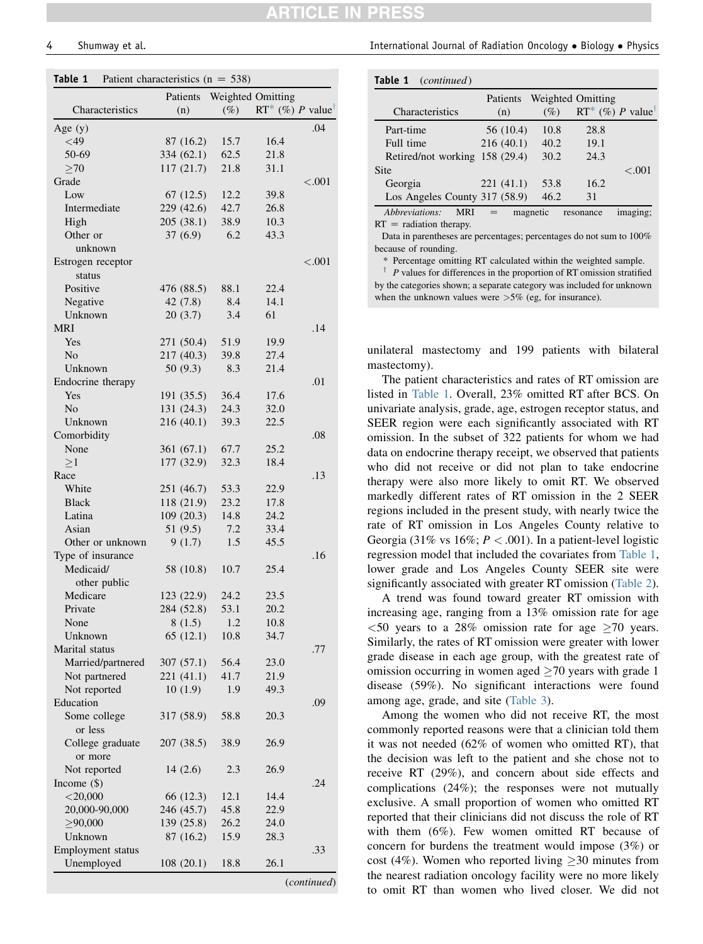# TICLE IN

<span id="page-3-0"></span>

| Table 1 | Patient characteristics ( $n = 538$ ) |  |  |  |
|---------|---------------------------------------|--|--|--|
|---------|---------------------------------------|--|--|--|

|                   | Patients   | Weighted Omitting |                    |             |
|-------------------|------------|-------------------|--------------------|-------------|
| Characteristics   | (n)        | $(\%)$            | $RT^*$ (%) P value |             |
| Age $(y)$         |            |                   |                    | .04         |
| $<$ 49            | 87 (16.2)  | 15.7              | 16.4               |             |
| 50-69             | 334 (62.1) | 62.5              | 21.8               |             |
| $\geq 70$         | 117 (21.7) | 21.8              | 31.1               |             |
| Grade             |            |                   |                    | < .001      |
| Low               | 67(12.5)   | 12.2              | 39.8               |             |
| Intermediate      | 229 (42.6) | 42.7              | 26.8               |             |
| High              | 205 (38.1) | 38.9              | 10.3               |             |
| Other or          | 37(6.9)    | 6.2               | 43.3               |             |
| unknown           |            |                   |                    |             |
| Estrogen receptor |            |                   |                    | ${<}.001$   |
| status            |            |                   |                    |             |
| Positive          | 476 (88.5) | 88.1              | 22.4               |             |
| Negative          | 42 (7.8)   | 8.4               | 14.1               |             |
| Unknown           | 20(3.7)    | 3.4               | 61                 |             |
| <b>MRI</b>        |            |                   |                    | .14         |
| Yes               | 271 (50.4) | 51.9              | 19.9               |             |
| N <sub>o</sub>    | 217 (40.3) | 39.8              | 27.4               |             |
| Unknown           | 50(9.3)    | 8.3               | 21.4               |             |
| Endocrine therapy |            |                   |                    | .01         |
| Yes               | 191 (35.5) | 36.4              | 17.6               |             |
| No                | 131 (24.3) | 24.3              | 32.0               |             |
| Unknown           | 216(40.1)  | 39.3              | 22.5               |             |
| Comorbidity       |            |                   |                    | .08         |
| None              | 361 (67.1) | 67.7              | 25.2               |             |
| >1                | 177 (32.9) | 32.3              | 18.4               |             |
| Race              |            |                   |                    | .13         |
| White             | 251 (46.7) | 53.3              | 22.9               |             |
| Black             | 118 (21.9) | 23.2              | 17.8               |             |
| Latina            | 109 (20.3) | 14.8              | 24.2               |             |
| Asian             | 51(9.5)    | 7.2               | 33.4               |             |
| Other or unknown  | 9(1.7)     | 1.5               | 45.5               |             |
| Type of insurance |            |                   |                    | .16         |
| Medicaid/         | 58 (10.8)  | 10.7              | 25.4               |             |
| other public      |            |                   |                    |             |
| Medicare          | 123 (22.9) | 24.2              | 23.5               |             |
| Private           | 284 (52.8) | 53.1              | 20.2               |             |
| None              | 8(1.5)     | 1.2               | 10.8               |             |
| Unknown           | 65 (12.1)  | 10.8              | 34.7               |             |
| Marital status    |            |                   |                    | .77         |
| Married/partnered | 307 (57.1) | 56.4              | 23.0               |             |
| Not partnered     | 221 (41.1) | 41.7              | 21.9               |             |
| Not reported      | 10(1.9)    | 1.9               | 49.3               |             |
| Education         |            |                   |                    | .09         |
| Some college      | 317 (58.9) | 58.8              | 20.3               |             |
| or less           |            |                   |                    |             |
| College graduate  | 207 (38.5) | 38.9              | 26.9               |             |
| or more           |            |                   |                    |             |
| Not reported      | 14(2.6)    | 2.3               | 26.9               |             |
| Income $(\$)$     |            |                   |                    | .24         |
| $<$ 20,000        | 66 (12.3)  | 12.1              | 14.4               |             |
| 20,000-90,000     | 246 (45.7) | 45.8              | 22.9               |             |
| $\geq 90,000$     | 139 (25.8) | 26.2              | 24.0               |             |
| Unknown           | 87 (16.2)  | 15.9              | 28.3               |             |
| Employment status |            |                   |                    | .33         |
| Unemployed        | 108(20.1)  | 18.8              | 26.1               |             |
|                   |            |                   |                    |             |
|                   |            |                   |                    | (continued) |

4 Shumway et al. International Journal of Radiation Oncology Biology Physics

| Table 1<br>( <i>continued</i> ) |                 |          |                                      |          |
|---------------------------------|-----------------|----------|--------------------------------------|----------|
| Characteristics                 | Patients<br>(n) | (%)      | Weighted Omitting<br>RT* (%) P value |          |
| Part-time                       | 56 (10.4)       | 10.8     | 28.8                                 |          |
| Full time                       | 216(40.1)       | 40.2     | 19.1                                 |          |
| Retired/not working 158 (29.4)  |                 | 30.2     | 24.3                                 |          |
| Site                            |                 |          |                                      | $-.001$  |
| Georgia                         | 221(41.1)       | 53.8     | 16.2                                 |          |
| Los Angeles County $317(58.9)$  |                 | 46.2     | 31                                   |          |
| Abbreviations:<br>MRI           |                 | magnetic | resonance                            | imaging: |

 $RT =$  radiation therapy.

Data in parentheses are percentages; percentages do not sum to 100% because of rounding.

\* Percentage omitting RT calculated within the weighted sample.

 $\dagger$  *P* values for differences in the proportion of RT omission stratified by the categories shown; a separate category was included for unknown when the unknown values were  $>5\%$  (eg, for insurance).

unilateral mastectomy and 199 patients with bilateral mastectomy).

The patient characteristics and rates of RT omission are listed in Table 1. Overall, 23% omitted RT after BCS. On univariate analysis, grade, age, estrogen receptor status, and SEER region were each significantly associated with RT omission. In the subset of 322 patients for whom we had data on endocrine therapy receipt, we observed that patients who did not receive or did not plan to take endocrine therapy were also more likely to omit RT. We observed markedly different rates of RT omission in the 2 SEER regions included in the present study, with nearly twice the rate of RT omission in Los Angeles County relative to Georgia (31% vs 16%;  $P < .001$ ). In a patient-level logistic regression model that included the covariates from Table 1, lower grade and Los Angeles County SEER site were significantly associated with greater RT omission ([Table 2](#page-4-0)).

A trend was found toward greater RT omission with increasing age, ranging from a 13% omission rate for age  $\leq$  50 years to a 28% omission rate for age  $\geq$  70 years. Similarly, the rates of RT omission were greater with lower grade disease in each age group, with the greatest rate of omission occurring in women aged  $\geq$  70 years with grade 1 disease (59%). No significant interactions were found among age, grade, and site ([Table 3](#page-4-0)).

Among the women who did not receive RT, the most commonly reported reasons were that a clinician told them it was not needed (62% of women who omitted RT), that the decision was left to the patient and she chose not to receive RT (29%), and concern about side effects and complications (24%); the responses were not mutually exclusive. A small proportion of women who omitted RT reported that their clinicians did not discuss the role of RT with them (6%). Few women omitted RT because of concern for burdens the treatment would impose (3%) or cost (4%). Women who reported living  $>30$  minutes from the nearest radiation oncology facility were no more likely to omit RT than women who lived closer. We did not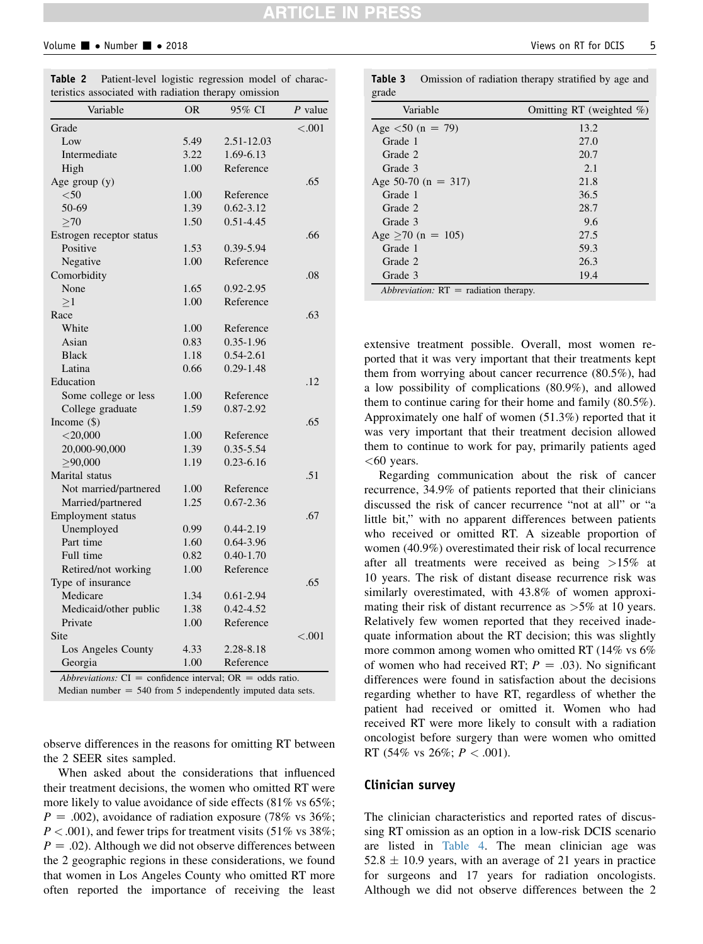#### <span id="page-4-0"></span>Volume  $\blacksquare$  • Number  $\blacksquare$  • 2018

| Variable                 | <b>OR</b> | 95% CI        | P value   |
|--------------------------|-----------|---------------|-----------|
| Grade                    |           |               | ${<}.001$ |
| Low                      | 5.49      | 2.51-12.03    |           |
| Intermediate             | 3.22      | 1.69-6.13     |           |
| High                     | 1.00      | Reference     |           |
| Age group (y)            |           |               | .65       |
| $50$                     | 1.00      | Reference     |           |
| 50-69                    | 1.39      | $0.62 - 3.12$ |           |
| >70                      | 1.50      | $0.51 - 4.45$ |           |
| Estrogen receptor status |           |               | .66       |
| Positive                 | 1.53      | 0.39-5.94     |           |
| Negative                 | 1.00      | Reference     |           |
| Comorbidity              |           |               | .08       |
| None                     | 1.65      | 0.92-2.95     |           |
| >1                       | 1.00      | Reference     |           |
| Race                     |           |               | .63       |
| White                    | 1.00      | Reference     |           |
| Asian                    | 0.83      | $0.35 - 1.96$ |           |
| <b>Black</b>             | 1.18      | $0.54 - 2.61$ |           |
| Latina                   | 0.66      | $0.29 - 1.48$ |           |
| Education                |           |               | .12       |
| Some college or less     | 1.00      | Reference     |           |
| College graduate         | 1.59      | 0.87-2.92     |           |
| Income $(\$)$            |           |               | .65       |
| $<$ 20,000               | 1.00      | Reference     |           |
| 20,000-90,000            | 1.39      | 0.35-5.54     |           |
| >90,000                  | 1.19      | $0.23 - 6.16$ |           |
| Marital status           |           |               | .51       |
| Not married/partnered    | 1.00      | Reference     |           |
| Married/partnered        | 1.25      | $0.67 - 2.36$ |           |
| Employment status        |           |               | .67       |
| Unemployed               | 0.99      | $0.44 - 2.19$ |           |
| Part time                | 1.60      | 0.64-3.96     |           |
| Full time                | 0.82      | $0.40 - 1.70$ |           |
| Retired/not working      | 1.00      | Reference     |           |
| Type of insurance        |           |               | .65       |
| Medicare                 | 1.34      | $0.61 - 2.94$ |           |
| Medicaid/other public    | 1.38      | $0.42 - 4.52$ |           |
| Private                  | 1.00      | Reference     |           |
| Site                     |           |               | ${<}.001$ |
| Los Angeles County       | 4.33      | 2.28-8.18     |           |
| Georgia                  | 1.00      | Reference     |           |

Table 2 Patient-level logistic regression model of characteristics associated with radiation therapy omission

observe differences in the reasons for omitting RT between the 2 SEER sites sampled.

When asked about the considerations that influenced their treatment decisions, the women who omitted RT were more likely to value avoidance of side effects (81% vs 65%;  $P = .002$ ), avoidance of radiation exposure (78% vs 36%;  $P < .001$ ), and fewer trips for treatment visits (51% vs 38%;  $P = .02$ ). Although we did not observe differences between the 2 geographic regions in these considerations, we found that women in Los Angeles County who omitted RT more often reported the importance of receiving the least

| Variable                | Omitting RT (weighted $\%$ ) |  |  |  |  |
|-------------------------|------------------------------|--|--|--|--|
| Age $\lt 50$ (n = 79)   | 13.2                         |  |  |  |  |
| Grade 1                 | 27.0                         |  |  |  |  |
| Grade 2                 | 20.7                         |  |  |  |  |
| Grade 3                 | 2.1                          |  |  |  |  |
| Age 50-70 ( $n = 317$ ) | 21.8                         |  |  |  |  |
| Grade 1                 | 36.5                         |  |  |  |  |
| Grade 2                 | 28.7                         |  |  |  |  |
| Grade 3                 | 9.6                          |  |  |  |  |
| Age $>70$ (n = 105)     | 27.5                         |  |  |  |  |
| Grade 1                 | 59.3                         |  |  |  |  |
| Grade 2                 | 26.3                         |  |  |  |  |
| Grade 3                 | 19.4                         |  |  |  |  |

Table 3 Omission of radiation therapy stratified by age and

extensive treatment possible. Overall, most women reported that it was very important that their treatments kept them from worrying about cancer recurrence (80.5%), had a low possibility of complications (80.9%), and allowed them to continue caring for their home and family (80.5%). Approximately one half of women (51.3%) reported that it was very important that their treatment decision allowed them to continue to work for pay, primarily patients aged  $<$  60 years.

Regarding communication about the risk of cancer recurrence, 34.9% of patients reported that their clinicians discussed the risk of cancer recurrence "not at all" or "a little bit," with no apparent differences between patients who received or omitted RT. A sizeable proportion of women (40.9%) overestimated their risk of local recurrence after all treatments were received as being >15% at 10 years. The risk of distant disease recurrence risk was similarly overestimated, with 43.8% of women approximating their risk of distant recurrence as  $>5\%$  at 10 years. Relatively few women reported that they received inadequate information about the RT decision; this was slightly more common among women who omitted RT (14% vs 6% of women who had received RT;  $P = .03$ ). No significant differences were found in satisfaction about the decisions regarding whether to have RT, regardless of whether the patient had received or omitted it. Women who had received RT were more likely to consult with a radiation oncologist before surgery than were women who omitted RT (54% vs 26%;  $P < .001$ ).

#### Clinician survey

The clinician characteristics and reported rates of discussing RT omission as an option in a low-risk DCIS scenario are listed in [Table 4](#page-5-0). The mean clinician age was  $52.8 \pm 10.9$  years, with an average of 21 years in practice for surgeons and 17 years for radiation oncologists. Although we did not observe differences between the 2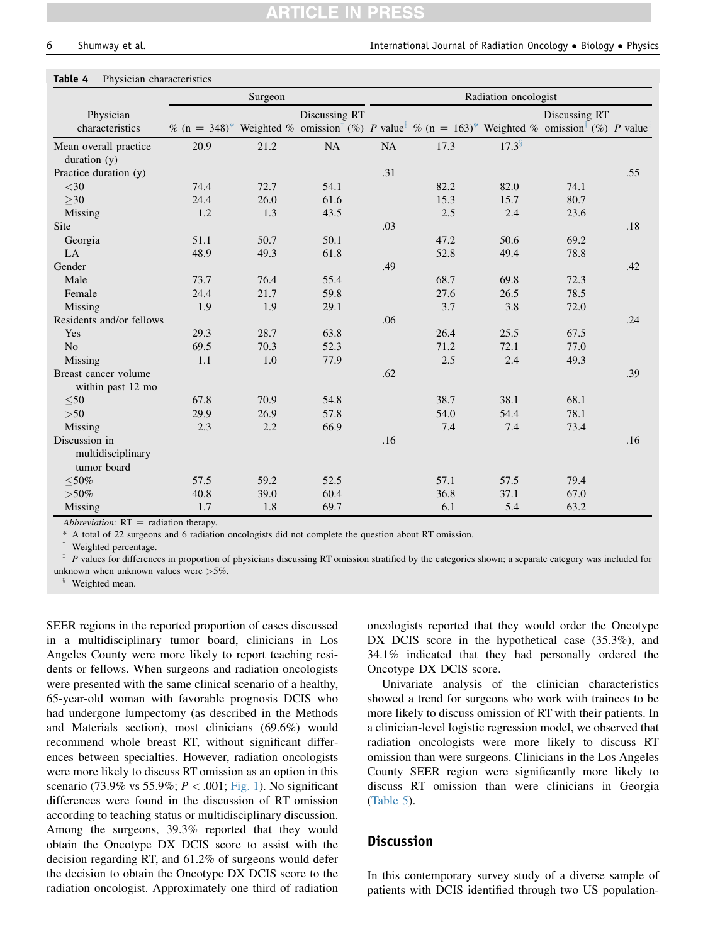#### <span id="page-5-0"></span>Table 4 Physician characteristics

|                                                   |      | Surgeon |                                                                                                                                                                            | Radiation oncologist |      |                      |               |     |
|---------------------------------------------------|------|---------|----------------------------------------------------------------------------------------------------------------------------------------------------------------------------|----------------------|------|----------------------|---------------|-----|
| Physician<br>characteristics                      |      |         | Discussing RT<br>$\%$ (n = 348)* Weighted $\%$ omission <sup>†</sup> (%) P value <sup>‡</sup> $\%$ (n = 163)* Weighted $\%$ omission <sup>†</sup> (%) P value <sup>‡</sup> |                      |      |                      | Discussing RT |     |
| Mean overall practice<br>duration $(y)$           | 20.9 | 21.2    | NA                                                                                                                                                                         | NA                   | 17.3 | $17.3^{\frac{6}{3}}$ |               |     |
| Practice duration (y)                             |      |         |                                                                                                                                                                            | .31                  |      |                      |               | .55 |
| $<$ 30                                            | 74.4 | 72.7    | 54.1                                                                                                                                                                       |                      | 82.2 | 82.0                 | 74.1          |     |
| >30                                               | 24.4 | 26.0    | 61.6                                                                                                                                                                       |                      | 15.3 | 15.7                 | 80.7          |     |
| Missing                                           | 1.2  | 1.3     | 43.5                                                                                                                                                                       |                      | 2.5  | 2.4                  | 23.6          |     |
| Site                                              |      |         |                                                                                                                                                                            | .03                  |      |                      |               | .18 |
| Georgia                                           | 51.1 | 50.7    | 50.1                                                                                                                                                                       |                      | 47.2 | 50.6                 | 69.2          |     |
| LA                                                | 48.9 | 49.3    | 61.8                                                                                                                                                                       |                      | 52.8 | 49.4                 | 78.8          |     |
| Gender                                            |      |         |                                                                                                                                                                            | .49                  |      |                      |               | .42 |
| Male                                              | 73.7 | 76.4    | 55.4                                                                                                                                                                       |                      | 68.7 | 69.8                 | 72.3          |     |
| Female                                            | 24.4 | 21.7    | 59.8                                                                                                                                                                       |                      | 27.6 | 26.5                 | 78.5          |     |
| Missing                                           | 1.9  | 1.9     | 29.1                                                                                                                                                                       |                      | 3.7  | 3.8                  | 72.0          |     |
| Residents and/or fellows                          |      |         |                                                                                                                                                                            | .06                  |      |                      |               | .24 |
| Yes                                               | 29.3 | 28.7    | 63.8                                                                                                                                                                       |                      | 26.4 | 25.5                 | 67.5          |     |
| N <sub>o</sub>                                    | 69.5 | 70.3    | 52.3                                                                                                                                                                       |                      | 71.2 | 72.1                 | 77.0          |     |
| Missing                                           | 1.1  | 1.0     | 77.9                                                                                                                                                                       |                      | 2.5  | 2.4                  | 49.3          |     |
| Breast cancer volume<br>within past 12 mo         |      |         |                                                                                                                                                                            | .62                  |      |                      |               | .39 |
| $50$                                              | 67.8 | 70.9    | 54.8                                                                                                                                                                       |                      | 38.7 | 38.1                 | 68.1          |     |
| >50                                               | 29.9 | 26.9    | 57.8                                                                                                                                                                       |                      | 54.0 | 54.4                 | 78.1          |     |
| Missing                                           | 2.3  | 2.2     | 66.9                                                                                                                                                                       |                      | 7.4  | 7.4                  | 73.4          |     |
| Discussion in<br>multidisciplinary<br>tumor board |      |         |                                                                                                                                                                            | .16                  |      |                      |               | .16 |
| $\leq 50\%$                                       | 57.5 | 59.2    | 52.5                                                                                                                                                                       |                      | 57.1 | 57.5                 | 79.4          |     |
| $> 50\%$                                          | 40.8 | 39.0    | 60.4                                                                                                                                                                       |                      | 36.8 | 37.1                 | 67.0          |     |
| Missing                                           | 1.7  | 1.8     | 69.7                                                                                                                                                                       |                      | 6.1  | 5.4                  | 63.2          |     |

Abbreviation:  $RT =$  radiation therapy.

\* A total of 22 surgeons and 6 radiation oncologists did not complete the question about RT omission.

<sup>†</sup> Weighted percentage.

 $\frac{1}{2}$  P values for differences in proportion of physicians discussing RT omission stratified by the categories shown; a separate category was included for unknown when unknown values were >5%.

Weighted mean.

SEER regions in the reported proportion of cases discussed in a multidisciplinary tumor board, clinicians in Los Angeles County were more likely to report teaching residents or fellows. When surgeons and radiation oncologists were presented with the same clinical scenario of a healthy, 65-year-old woman with favorable prognosis DCIS who had undergone lumpectomy (as described in the Methods and Materials section), most clinicians (69.6%) would recommend whole breast RT, without significant differences between specialties. However, radiation oncologists were more likely to discuss RT omission as an option in this scenario (73.9% vs 55.9%;  $P < .001$ ; [Fig. 1](#page-6-0)). No significant differences were found in the discussion of RT omission according to teaching status or multidisciplinary discussion. Among the surgeons, 39.3% reported that they would obtain the Oncotype DX DCIS score to assist with the decision regarding RT, and 61.2% of surgeons would defer the decision to obtain the Oncotype DX DCIS score to the radiation oncologist. Approximately one third of radiation oncologists reported that they would order the Oncotype DX DCIS score in the hypothetical case (35.3%), and 34.1% indicated that they had personally ordered the Oncotype DX DCIS score.

Univariate analysis of the clinician characteristics showed a trend for surgeons who work with trainees to be more likely to discuss omission of RT with their patients. In a clinician-level logistic regression model, we observed that radiation oncologists were more likely to discuss RT omission than were surgeons. Clinicians in the Los Angeles County SEER region were significantly more likely to discuss RT omission than were clinicians in Georgia [\(Table 5\)](#page-6-0).

#### **Discussion**

In this contemporary survey study of a diverse sample of patients with DCIS identified through two US population-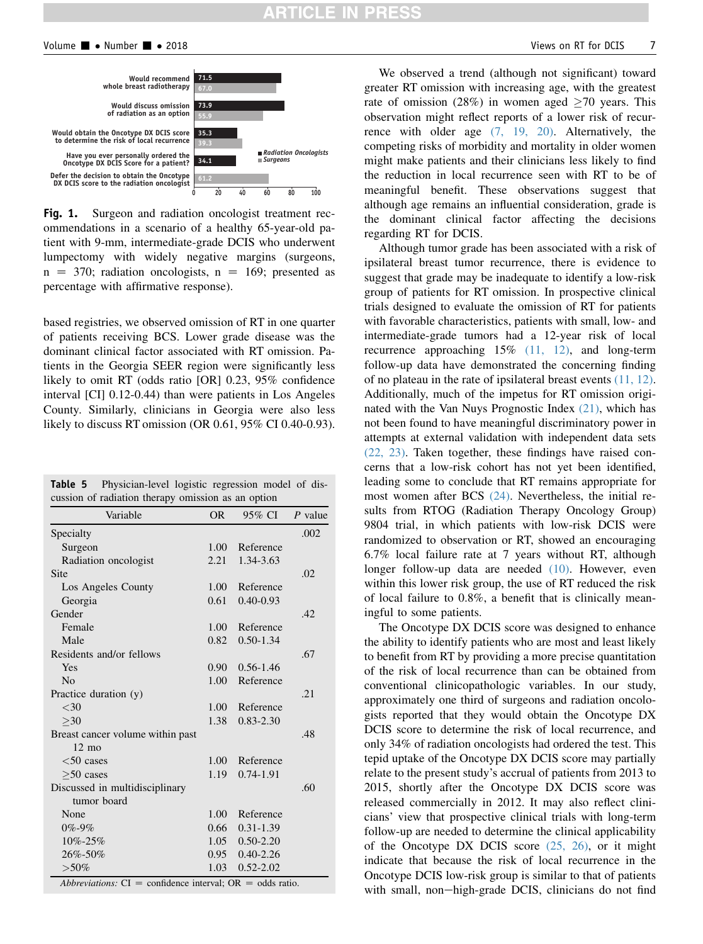# **ARTICLE IN PRESS**

<span id="page-6-0"></span>

Fig. 1. Surgeon and radiation oncologist treatment recommendations in a scenario of a healthy 65-year-old patient with 9-mm, intermediate-grade DCIS who underwent lumpectomy with widely negative margins (surgeons,  $n = 370$ ; radiation oncologists,  $n = 169$ ; presented as percentage with affirmative response).

based registries, we observed omission of RT in one quarter of patients receiving BCS. Lower grade disease was the dominant clinical factor associated with RT omission. Patients in the Georgia SEER region were significantly less likely to omit RT (odds ratio [OR] 0.23, 95% confidence interval [CI] 0.12-0.44) than were patients in Los Angeles County. Similarly, clinicians in Georgia were also less likely to discuss RT omission (OR 0.61, 95% CI 0.40-0.93).

Table 5 Physician-level logistic regression model of discussion of radiation therapy omission as an option

| Variable                                            | <b>OR</b>         | 95% CI        | $P$ value |
|-----------------------------------------------------|-------------------|---------------|-----------|
| Specialty                                           |                   |               | .002      |
| Surgeon                                             | 1.00              | Reference     |           |
| Radiation oncologist                                | 2.21              | 1.34-3.63     |           |
| <b>Site</b>                                         |                   |               | .02       |
| Los Angeles County                                  | 1.00 <sub>l</sub> | Reference     |           |
| Georgia                                             | 0.61              | $0.40 - 0.93$ |           |
| Gender                                              |                   |               | .42       |
| Female                                              | 1.00              | Reference     |           |
| Male                                                | 0.82              | $0.50 - 1.34$ |           |
| Residents and/or fellows                            |                   |               | .67       |
| Yes                                                 | 0.90 <sub>1</sub> | $0.56 - 1.46$ |           |
| No                                                  | $1.00 -$          | Reference     |           |
| Practice duration (y)                               |                   |               | .21       |
| $<$ 30                                              | 1.00              | Reference     |           |
| >30                                                 | 1.38              | $0.83 - 2.30$ |           |
| Breast cancer volume within past<br>$12 \text{ mo}$ |                   |               | .48       |
| $<$ 50 cases                                        | $1.00 -$          | Reference     |           |
| $>50$ cases                                         | 1.19              | 0.74-1.91     |           |
| Discussed in multidisciplinary                      |                   |               | .60       |
| tumor board                                         |                   |               |           |
| None                                                | 1.00              | Reference     |           |
| $0\% - 9\%$                                         | 0.66              | $0.31 - 1.39$ |           |
| 10%-25%                                             | 1.05              | $0.50 - 2.20$ |           |
| 26%-50%                                             | 0.95              | $0.40 - 2.26$ |           |
| $> 50\%$                                            | $1.03 -$          | $0.52 - 2.02$ |           |

We observed a trend (although not significant) toward greater RT omission with increasing age, with the greatest rate of omission (28%) in women aged  $\geq$  70 years. This observation might reflect reports of a lower risk of recurrence with older age [\(7, 19, 20\).](#page-8-0) Alternatively, the competing risks of morbidity and mortality in older women might make patients and their clinicians less likely to find the reduction in local recurrence seen with RT to be of meaningful benefit. These observations suggest that although age remains an influential consideration, grade is the dominant clinical factor affecting the decisions regarding RT for DCIS.

Although tumor grade has been associated with a risk of ipsilateral breast tumor recurrence, there is evidence to suggest that grade may be inadequate to identify a low-risk group of patients for RT omission. In prospective clinical trials designed to evaluate the omission of RT for patients with favorable characteristics, patients with small, low- and intermediate-grade tumors had a 12-year risk of local recurrence approaching 15% [\(11, 12\),](#page-8-0) and long-term follow-up data have demonstrated the concerning finding of no plateau in the rate of ipsilateral breast events [\(11, 12\)](#page-8-0). Additionally, much of the impetus for RT omission originated with the Van Nuys Prognostic Index [\(21\)](#page-8-0), which has not been found to have meaningful discriminatory power in attempts at external validation with independent data sets [\(22, 23\)](#page-8-0). Taken together, these findings have raised concerns that a low-risk cohort has not yet been identified, leading some to conclude that RT remains appropriate for most women after BCS [\(24\).](#page-8-0) Nevertheless, the initial results from RTOG (Radiation Therapy Oncology Group) 9804 trial, in which patients with low-risk DCIS were randomized to observation or RT, showed an encouraging 6.7% local failure rate at 7 years without RT, although longer follow-up data are needed [\(10\).](#page-8-0) However, even within this lower risk group, the use of RT reduced the risk of local failure to 0.8%, a benefit that is clinically meaningful to some patients.

The Oncotype DX DCIS score was designed to enhance the ability to identify patients who are most and least likely to benefit from RT by providing a more precise quantitation of the risk of local recurrence than can be obtained from conventional clinicopathologic variables. In our study, approximately one third of surgeons and radiation oncologists reported that they would obtain the Oncotype DX DCIS score to determine the risk of local recurrence, and only 34% of radiation oncologists had ordered the test. This tepid uptake of the Oncotype DX DCIS score may partially relate to the present study's accrual of patients from 2013 to 2015, shortly after the Oncotype DX DCIS score was released commercially in 2012. It may also reflect clinicians' view that prospective clinical trials with long-term follow-up are needed to determine the clinical applicability of the Oncotype DX DCIS score  $(25, 26)$ , or it might indicate that because the risk of local recurrence in the Oncotype DCIS low-risk group is similar to that of patients with small, non-high-grade DCIS, clinicians do not find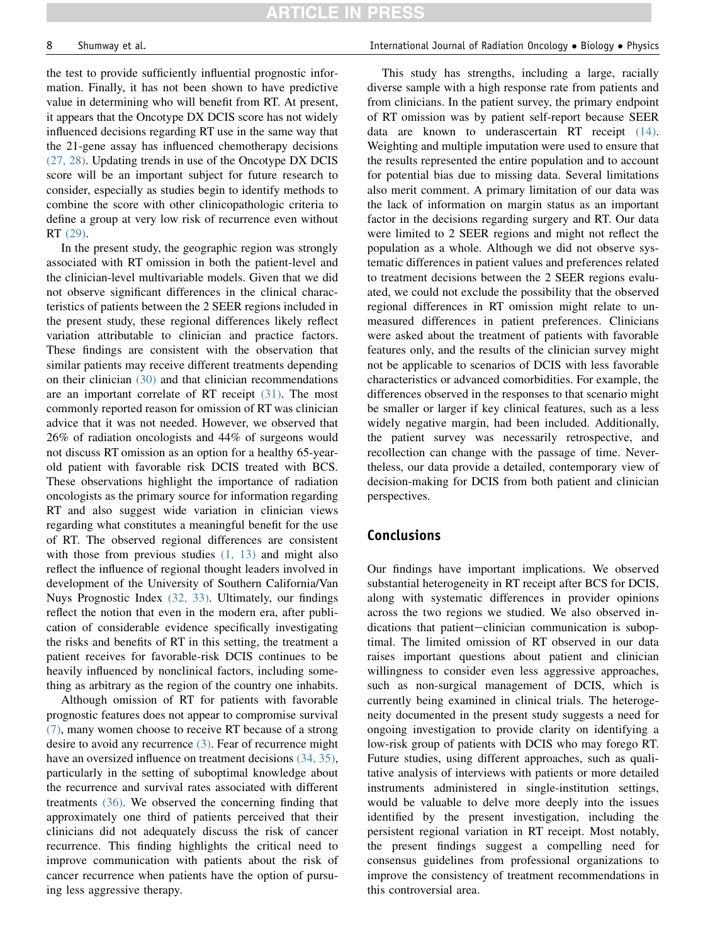the test to provide sufficiently influential prognostic information. Finally, it has not been shown to have predictive value in determining who will benefit from RT. At present, it appears that the Oncotype DX DCIS score has not widely influenced decisions regarding RT use in the same way that the 21-gene assay has influenced chemotherapy decisions [\(27, 28\)](#page-8-0). Updating trends in use of the Oncotype DX DCIS score will be an important subject for future research to consider, especially as studies begin to identify methods to combine the score with other clinicopathologic criteria to define a group at very low risk of recurrence even without RT [\(29\)](#page-8-0).

In the present study, the geographic region was strongly associated with RT omission in both the patient-level and the clinician-level multivariable models. Given that we did not observe significant differences in the clinical characteristics of patients between the 2 SEER regions included in the present study, these regional differences likely reflect variation attributable to clinician and practice factors. These findings are consistent with the observation that similar patients may receive different treatments depending on their clinician [\(30\)](#page-8-0) and that clinician recommendations are an important correlate of RT receipt [\(31\).](#page-8-0) The most commonly reported reason for omission of RT was clinician advice that it was not needed. However, we observed that 26% of radiation oncologists and 44% of surgeons would not discuss RT omission as an option for a healthy 65-yearold patient with favorable risk DCIS treated with BCS. These observations highlight the importance of radiation oncologists as the primary source for information regarding RT and also suggest wide variation in clinician views regarding what constitutes a meaningful benefit for the use of RT. The observed regional differences are consistent with those from previous studies  $(1, 13)$  and might also reflect the influence of regional thought leaders involved in development of the University of Southern California/Van Nuys Prognostic Index [\(32, 33\)](#page-8-0). Ultimately, our findings reflect the notion that even in the modern era, after publication of considerable evidence specifically investigating the risks and benefits of RT in this setting, the treatment a patient receives for favorable-risk DCIS continues to be heavily influenced by nonclinical factors, including something as arbitrary as the region of the country one inhabits.

Although omission of RT for patients with favorable prognostic features does not appear to compromise survival [\(7\),](#page-8-0) many women choose to receive RT because of a strong desire to avoid any recurrence [\(3\).](#page-8-0) Fear of recurrence might have an oversized influence on treatment decisions  $(34, 35)$ , particularly in the setting of suboptimal knowledge about the recurrence and survival rates associated with different treatments [\(36\).](#page-8-0) We observed the concerning finding that approximately one third of patients perceived that their clinicians did not adequately discuss the risk of cancer recurrence. This finding highlights the critical need to improve communication with patients about the risk of cancer recurrence when patients have the option of pursuing less aggressive therapy.

#### 8 Shumway et al. International Journal of Radiation Oncology • Biology • Physics

This study has strengths, including a large, racially diverse sample with a high response rate from patients and from clinicians. In the patient survey, the primary endpoint of RT omission was by patient self-report because SEER data are known to underascertain RT receipt [\(14\).](#page-8-0) Weighting and multiple imputation were used to ensure that the results represented the entire population and to account for potential bias due to missing data. Several limitations also merit comment. A primary limitation of our data was the lack of information on margin status as an important factor in the decisions regarding surgery and RT. Our data were limited to 2 SEER regions and might not reflect the population as a whole. Although we did not observe systematic differences in patient values and preferences related to treatment decisions between the 2 SEER regions evaluated, we could not exclude the possibility that the observed regional differences in RT omission might relate to unmeasured differences in patient preferences. Clinicians were asked about the treatment of patients with favorable features only, and the results of the clinician survey might not be applicable to scenarios of DCIS with less favorable characteristics or advanced comorbidities. For example, the differences observed in the responses to that scenario might be smaller or larger if key clinical features, such as a less widely negative margin, had been included. Additionally, the patient survey was necessarily retrospective, and recollection can change with the passage of time. Nevertheless, our data provide a detailed, contemporary view of decision-making for DCIS from both patient and clinician perspectives.

### Conclusions

Our findings have important implications. We observed substantial heterogeneity in RT receipt after BCS for DCIS, along with systematic differences in provider opinions across the two regions we studied. We also observed indications that patient-clinician communication is suboptimal. The limited omission of RT observed in our data raises important questions about patient and clinician willingness to consider even less aggressive approaches, such as non-surgical management of DCIS, which is currently being examined in clinical trials. The heterogeneity documented in the present study suggests a need for ongoing investigation to provide clarity on identifying a low-risk group of patients with DCIS who may forego RT. Future studies, using different approaches, such as qualitative analysis of interviews with patients or more detailed instruments administered in single-institution settings, would be valuable to delve more deeply into the issues identified by the present investigation, including the persistent regional variation in RT receipt. Most notably, the present findings suggest a compelling need for consensus guidelines from professional organizations to improve the consistency of treatment recommendations in this controversial area.